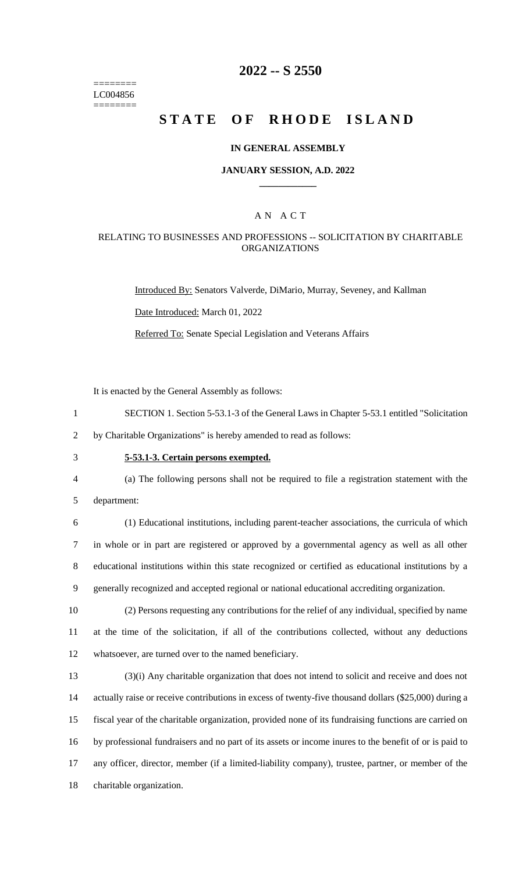======== LC004856 ========

# **2022 -- S 2550**

# **STATE OF RHODE ISLAND**

### **IN GENERAL ASSEMBLY**

#### **JANUARY SESSION, A.D. 2022 \_\_\_\_\_\_\_\_\_\_\_\_**

### A N A C T

### RELATING TO BUSINESSES AND PROFESSIONS -- SOLICITATION BY CHARITABLE ORGANIZATIONS

Introduced By: Senators Valverde, DiMario, Murray, Seveney, and Kallman

Date Introduced: March 01, 2022

Referred To: Senate Special Legislation and Veterans Affairs

It is enacted by the General Assembly as follows:

1 SECTION 1. Section 5-53.1-3 of the General Laws in Chapter 5-53.1 entitled "Solicitation

2 by Charitable Organizations" is hereby amended to read as follows:

# 3 **5-53.1-3. Certain persons exempted.**

- 4 (a) The following persons shall not be required to file a registration statement with the
- 5 department:

 (1) Educational institutions, including parent-teacher associations, the curricula of which in whole or in part are registered or approved by a governmental agency as well as all other educational institutions within this state recognized or certified as educational institutions by a generally recognized and accepted regional or national educational accrediting organization.

10 (2) Persons requesting any contributions for the relief of any individual, specified by name 11 at the time of the solicitation, if all of the contributions collected, without any deductions 12 whatsoever, are turned over to the named beneficiary.

 (3)(i) Any charitable organization that does not intend to solicit and receive and does not actually raise or receive contributions in excess of twenty-five thousand dollars (\$25,000) during a fiscal year of the charitable organization, provided none of its fundraising functions are carried on by professional fundraisers and no part of its assets or income inures to the benefit of or is paid to any officer, director, member (if a limited-liability company), trustee, partner, or member of the charitable organization.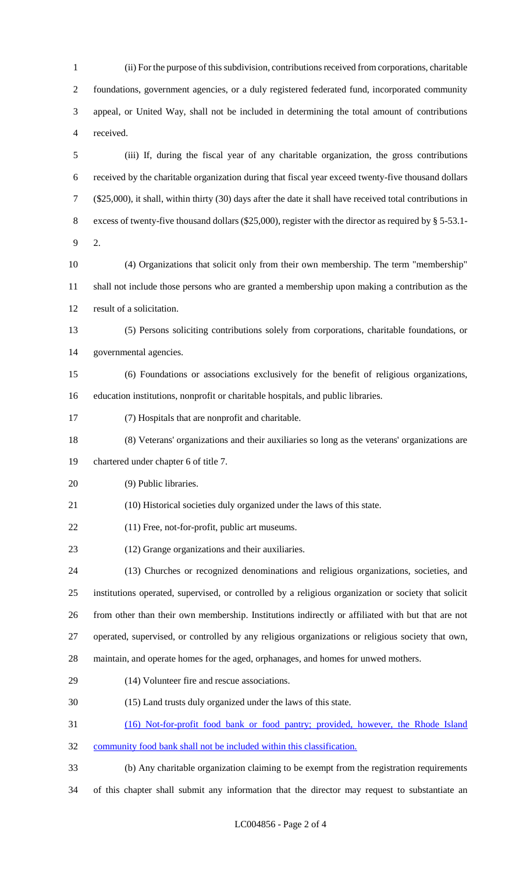(ii) For the purpose of this subdivision, contributions received from corporations, charitable foundations, government agencies, or a duly registered federated fund, incorporated community appeal, or United Way, shall not be included in determining the total amount of contributions received.

 (iii) If, during the fiscal year of any charitable organization, the gross contributions received by the charitable organization during that fiscal year exceed twenty-five thousand dollars (\$25,000), it shall, within thirty (30) days after the date it shall have received total contributions in excess of twenty-five thousand dollars (\$25,000), register with the director as required by § 5-53.1- 2.

 (4) Organizations that solicit only from their own membership. The term "membership" shall not include those persons who are granted a membership upon making a contribution as the result of a solicitation.

 (5) Persons soliciting contributions solely from corporations, charitable foundations, or governmental agencies.

- (6) Foundations or associations exclusively for the benefit of religious organizations, education institutions, nonprofit or charitable hospitals, and public libraries.
- (7) Hospitals that are nonprofit and charitable.
- (8) Veterans' organizations and their auxiliaries so long as the veterans' organizations are

chartered under chapter 6 of title 7.

- (9) Public libraries.
- (10) Historical societies duly organized under the laws of this state.
- (11) Free, not-for-profit, public art museums.
- (12) Grange organizations and their auxiliaries.

 (13) Churches or recognized denominations and religious organizations, societies, and institutions operated, supervised, or controlled by a religious organization or society that solicit from other than their own membership. Institutions indirectly or affiliated with but that are not operated, supervised, or controlled by any religious organizations or religious society that own, maintain, and operate homes for the aged, orphanages, and homes for unwed mothers.

- (14) Volunteer fire and rescue associations.
- 
- (15) Land trusts duly organized under the laws of this state.
- (16) Not-for-profit food bank or food pantry; provided, however, the Rhode Island
- community food bank shall not be included within this classification.
- (b) Any charitable organization claiming to be exempt from the registration requirements

of this chapter shall submit any information that the director may request to substantiate an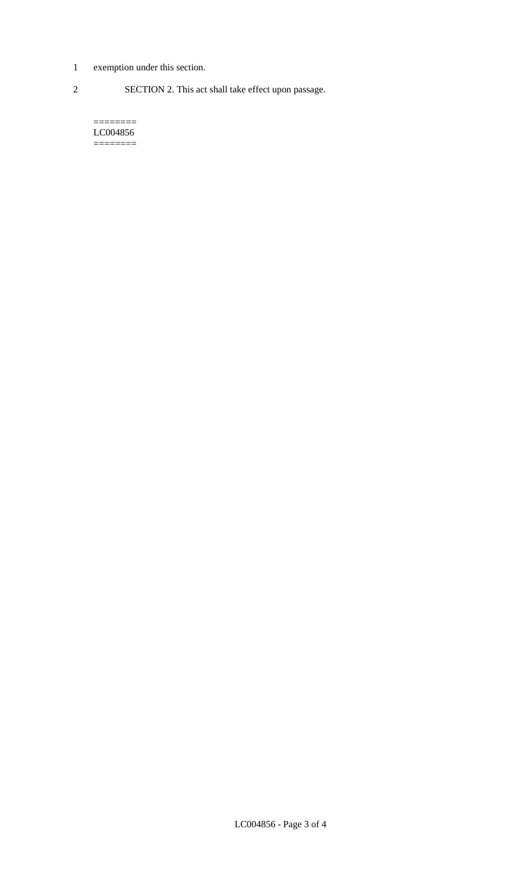- 1 exemption under this section.
- 2 SECTION 2. This act shall take effect upon passage.

======== LC004856 ========